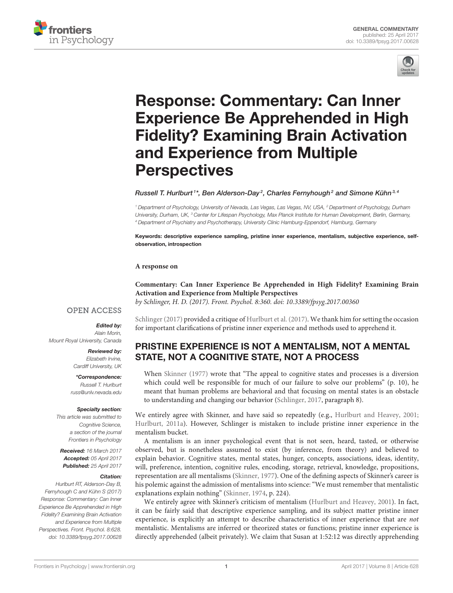



# Response: Commentary: Can Inner [Experience Be Apprehended in High](http://journal.frontiersin.org/article/10.3389/fpsyg.2017.00628/full) Fidelity? Examining Brain Activation and Experience from Multiple **Perspectives**

[Russell T. Hurlburt](http://loop.frontiersin.org/people/175221/overview)  $1^*$ , [Ben Alderson-Day](http://loop.frontiersin.org/people/83251/overview) $^2$ , [Charles Fernyhough](http://loop.frontiersin.org/people/69831/overview) $^2$  and [Simone Kühn](http://loop.frontiersin.org/people/13192/overview) $^{3,4}$ 

<sup>1</sup> Department of Psychology, University of Nevada, Las Vegas, Las Vegas, NV, USA, <sup>2</sup> Department of Psychology, Durham University, Durham, UK, <sup>3</sup> Center for Lifespan Psychology, Max Planck Institute for Human Development, Berlin, Germany, <sup>4</sup> Department of Psychiatry and Psychotherapy, University Clinic Hamburg-Eppendorf, Hamburg, Germany

Keywords: descriptive experience sampling, pristine inner experience, mentalism, subjective experience, selfobservation, introspection

#### **A response on**

**[Commentary: Can Inner Experience Be Apprehended in High Fidelity? Examining Brain](https://doi.org/10.3389/fpsyg.2017.00360) Activation and Experience from Multiple Perspectives** by Schlinger, H. D. (2017). Front. Psychol. 8:360. doi: [10.3389/fpsyg.2017.00360](https://doi.org/10.3389/fpsyg.2017.00360)

#### **OPEN ACCESS**

#### Edited by:

Alain Morin, Mount Royal University, Canada

> Reviewed by: Elizabeth Irvine, Cardiff University, UK

\*Correspondence: Russell T. Hurlburt [russ@unlv.nevada.edu](mailto:russ@unlv.nevada.edu)

#### Specialty section:

This article was submitted to Cognitive Science, a section of the journal Frontiers in Psychology

Received: 16 March 2017 Accepted: 05 April 2017 Published: 25 April 2017

#### Citation:

Hurlburt RT, Alderson-Day B, Fernyhough C and Kühn S (2017) Response: Commentary: Can Inner Experience Be Apprehended in High Fidelity? Examining Brain Activation and Experience from Multiple Perspectives. Front. Psychol. 8:628. doi: [10.3389/fpsyg.2017.00628](https://doi.org/10.3389/fpsyg.2017.00628) [Schlinger \(2017\)](#page-4-0) provided a critique of [Hurlburt et al. \(2017\)](#page-3-0). We thank him for setting the occasion for important clarifications of pristine inner experience and methods used to apprehend it.

# PRISTINE EXPERIENCE IS NOT A MENTALISM, NOT A MENTAL STATE, NOT A COGNITIVE STATE, NOT A PROCESS

When [Skinner \(1977\)](#page-4-1) wrote that "The appeal to cognitive states and processes is a diversion which could well be responsible for much of our failure to solve our problems" (p. 10), he meant that human problems are behavioral and that focusing on mental states is an obstacle to understanding and changing our behavior [\(Schlinger, 2017,](#page-4-0) paragraph 8).

We entirely agree with Skinner, and have said so repeatedly (e.g., [Hurlburt and Heavey, 2001;](#page-3-1) [Hurlburt, 2011a\)](#page-3-2). However, Schlinger is mistaken to include pristine inner experience in the mentalism bucket.

A mentalism is an inner psychological event that is not seen, heard, tasted, or otherwise observed, but is nonetheless assumed to exist (by inference, from theory) and believed to explain behavior. Cognitive states, mental states, hunger, concepts, associations, ideas, identity, will, preference, intention, cognitive rules, encoding, storage, retrieval, knowledge, propositions, representation are all mentalisms [\(Skinner, 1977\)](#page-4-1). One of the defining aspects of Skinner's career is his polemic against the admission of mentalisms into science: "We must remember that mentalistic explanations explain nothing" [\(Skinner, 1974,](#page-4-2) p. 224).

We entirely agree with Skinner's criticism of mentalism [\(Hurlburt and Heavey, 2001\)](#page-3-1). In fact, it can be fairly said that descriptive experience sampling, and its subject matter pristine inner experience, is explicitly an attempt to describe characteristics of inner experience that are not mentalistic. Mentalisms are inferred or theorized states or functions; pristine inner experience is directly apprehended (albeit privately). We claim that Susan at 1:52:12 was directly apprehending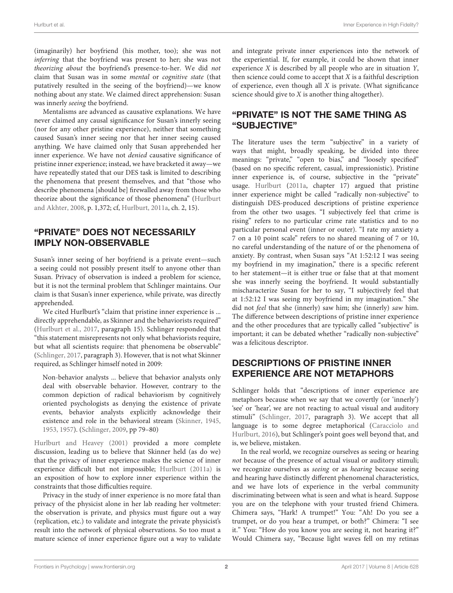(imaginarily) her boyfriend (his mother, too); she was not inferring that the boyfriend was present to her; she was not theorizing about the boyfriend's presence-to-her. We did not claim that Susan was in some mental or cognitive state (that putatively resulted in the seeing of the boyfriend)—we know nothing about any state. We claimed direct apprehension: Susan was innerly seeing the boyfriend.

Mentalisms are advanced as causative explanations. We have never claimed any causal significance for Susan's innerly seeing (nor for any other pristine experience), neither that something caused Susan's inner seeing nor that her inner seeing caused anything. We have claimed only that Susan apprehended her inner experience. We have not denied causative significance of pristine inner experience; instead, we have bracketed it away—we have repeatedly stated that our DES task is limited to describing the phenomena that present themselves, and that "those who describe phenomena [should be] firewalled away from those who theorize about the significance of those phenomena" (Hurlburt and Akhter, [2008,](#page-3-3) p. 1,372; cf, [Hurlburt, 2011a,](#page-3-2) ch. 2, 15).

#### "PRIVATE" DOES NOT NECESSARILY IMPLY NON-OBSERVABLE

Susan's inner seeing of her boyfriend is a private event—such a seeing could not possibly present itself to anyone other than Susan. Privacy of observation is indeed a problem for science, but it is not the terminal problem that Schlinger maintains. Our claim is that Susan's inner experience, while private, was directly apprehended.

We cited Hurlburt's "claim that pristine inner experience is ... directly apprehendable, as Skinner and the behaviorists required" [\(Hurlburt et al., 2017,](#page-3-0) paragraph 15). Schlinger responded that "this statement misrepresents not only what behaviorists require, but what all scientists require: that phenomena be observable" [\(Schlinger, 2017,](#page-4-0) paragraph 3). However, that is not what Skinner required, as Schlinger himself noted in 2009:

Non-behavior analysts ... believe that behavior analysts only deal with observable behavior. However, contrary to the common depiction of radical behaviorism by cognitively oriented psychologists as denying the existence of private events, behavior analysts explicitly acknowledge their existence and role in the behavioral stream [\(Skinner, 1945,](#page-4-3) [1953,](#page-4-4) [1957\)](#page-4-5). [\(Schlinger, 2009,](#page-4-6) pp 79–80)

[Hurlburt and Heavey \(2001\)](#page-3-1) provided a more complete discussion, leading us to believe that Skinner held (as do we) that the privacy of inner experience makes the science of inner experience difficult but not impossible; [Hurlburt \(2011a\)](#page-3-2) is an exposition of how to explore inner experience within the constraints that those difficulties require.

Privacy in the study of inner experience is no more fatal than privacy of the physicist alone in her lab reading her voltmeter: the observation is private, and physics must figure out a way (replication, etc.) to validate and integrate the private physicist's result into the network of physical observations. So too must a mature science of inner experience figure out a way to validate and integrate private inner experiences into the network of the experiential. If, for example, it could be shown that inner experience X is described by all people who are in situation Y, then science could come to accept that  $X$  is a faithful description of experience, even though all  $X$  is private. (What significance science should give to X is another thing altogether).

## "PRIVATE" IS NOT THE SAME THING AS "SUBJECTIVE"

The literature uses the term "subjective" in a variety of ways that might, broadly speaking, be divided into three meanings: "private," "open to bias," and "loosely specified" (based on no specific referent, casual, impressionistic). Pristine inner experience is, of course, subjective in the "private" usage. [Hurlburt](#page-3-2) [\(2011a,](#page-3-2) chapter 17) argued that pristine inner experience might be called "radically non-subjective" to distinguish DES-produced descriptions of pristine experience from the other two usages. "I subjectively feel that crime is rising" refers to no particular crime rate statistics and to no particular personal event (inner or outer). "I rate my anxiety a 7 on a 10 point scale" refers to no shared meaning of 7 or 10, no careful understanding of the nature of or the phenomena of anxiety. By contrast, when Susan says "At 1:52:12 I was seeing my boyfriend in my imagination," there is a specific referent to her statement—it is either true or false that at that moment she was innerly seeing the boyfriend. It would substantially mischaracterize Susan for her to say, "I subjectively feel that at 1:52:12 I was seeing my boyfriend in my imagination." She did not feel that she (innerly) saw him; she (innerly) saw him. The difference between descriptions of pristine inner experience and the other procedures that are typically called "subjective" is important; it can be debated whether "radically non-subjective" was a felicitous descriptor.

## DESCRIPTIONS OF PRISTINE INNER EXPERIENCE ARE NOT METAPHORS

Schlinger holds that "descriptions of inner experience are metaphors because when we say that we covertly (or 'innerly') 'see' or 'hear', we are not reacting to actual visual and auditory stimuli" [\(Schlinger, 2017,](#page-4-0) paragraph 3). We accept that all language is to some degree metaphorical (Caracciolo and Hurlburt, [2016\)](#page-3-4), but Schlinger's point goes well beyond that, and is, we believe, mistaken.

In the real world, we recognize ourselves as seeing or hearing not because of the presence of actual visual or auditory stimuli; we recognize ourselves as seeing or as hearing because seeing and hearing have distinctly different phenomenal characteristics, and we have lots of experience in the verbal community discriminating between what is seen and what is heard. Suppose you are on the telephone with your trusted friend Chimera. Chimera says, "Hark! A trumpet!" You: "Ah! Do you see a trumpet, or do you hear a trumpet, or both?" Chimera: "I see it." You: "How do you know you are seeing it, not hearing it?" Would Chimera say, "Because light waves fell on my retinas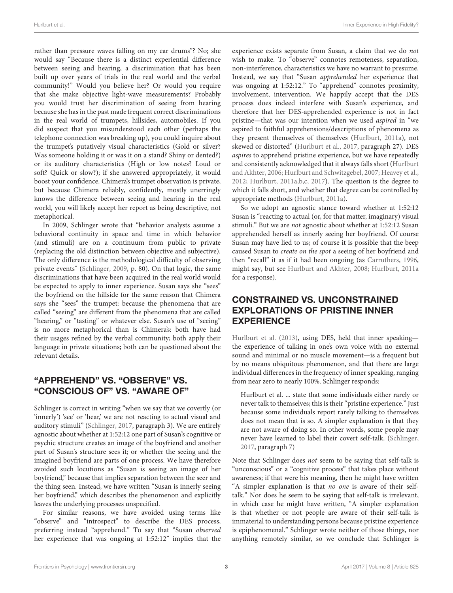rather than pressure waves falling on my ear drums"? No; she would say "Because there is a distinct experiential difference between seeing and hearing, a discrimination that has been built up over years of trials in the real world and the verbal community!" Would you believe her? Or would you require that she make objective light-wave measurements? Probably you would trust her discrimination of seeing from hearing because she has in the past made frequent correct discriminations in the real world of trumpets, hillsides, automobiles. If you did suspect that you misunderstood each other (perhaps the telephone connection was breaking up), you could inquire about the trumpet's putatively visual characteristics (Gold or silver? Was someone holding it or was it on a stand? Shiny or dented?) or its auditory characteristics (High or low notes? Loud or soft? Quick or slow?); if she answered appropriately, it would boost your confidence. Chimera's trumpet observation is private, but because Chimera reliably, confidently, mostly unerringly knows the difference between seeing and hearing in the real world, you will likely accept her report as being descriptive, not metaphorical.

In 2009, Schlinger wrote that "behavior analysts assume a behavioral continuity in space and time in which behavior (and stimuli) are on a continuum from public to private (replacing the old distinction between objective and subjective). The only difference is the methodological difficulty of observing private events" [\(Schlinger, 2009,](#page-4-6) p. 80). On that logic, the same discriminations that have been acquired in the real world would be expected to apply to inner experience. Susan says she "sees" the boyfriend on the hillside for the same reason that Chimera says she "sees" the trumpet: because the phenomena that are called "seeing" are different from the phenomena that are called "hearing," or "tasting" or whatever else. Susan's use of "seeing" is no more metaphorical than is Chimera's: both have had their usages refined by the verbal community; both apply their language in private situations; both can be questioned about the relevant details.

## "APPREHEND" VS. "OBSERVE" VS. "CONSCIOUS OF" VS. "AWARE OF"

Schlinger is correct in writing "when we say that we covertly (or 'innerly') 'see' or 'hear,' we are not reacting to actual visual and auditory stimuli" [\(Schlinger, 2017,](#page-4-0) paragraph 3). We are entirely agnostic about whether at 1:52:12 one part of Susan's cognitive or psychic structure creates an image of the boyfriend and another part of Susan's structure sees it; or whether the seeing and the imagined boyfriend are parts of one process. We have therefore avoided such locutions as "Susan is seeing an image of her boyfriend," because that implies separation between the seer and the thing seen. Instead, we have written "Susan is innerly seeing her boyfriend," which describes the phenomenon and explicitly leaves the underlying processes unspecified.

For similar reasons, we have avoided using terms like "observe" and "introspect" to describe the DES process, preferring instead "apprehend." To say that "Susan observed her experience that was ongoing at 1:52:12" implies that the experience exists separate from Susan, a claim that we do not wish to make. To "observe" connotes remoteness, separation, non-interference, characteristics we have no warrant to presume. Instead, we say that "Susan apprehended her experience that was ongoing at 1:52:12." To "apprehend" connotes proximity, involvement, intervention. We happily accept that the DES process does indeed interfere with Susan's experience, and therefore that her DES-apprehended experience is not in fact pristine—that was our intention when we used aspired in "we aspired to faithful apprehensions/descriptions of phenomena as they present themselves of themselves [\(Hurlburt, 2011a\)](#page-3-2), not skewed or distorted" [\(Hurlburt et al., 2017,](#page-3-0) paragraph 27). DES aspires to apprehend pristine experience, but we have repeatedly and consistently acknowledged that it always falls short (Hurlburt and Akhter, [2006;](#page-3-5) [Hurlburt and Schwitzgebel, 2007;](#page-3-6) [Heavey et al.,](#page-3-7) [2012;](#page-3-7) [Hurlburt, 2011a,](#page-3-2)[b,](#page-3-8)[c,](#page-3-9) [2017\)](#page-3-10). The question is the degree to which it falls short, and whether that degree can be controlled by appropriate methods [\(Hurlburt, 2011a\)](#page-3-2).

So we adopt an agnostic stance toward whether at 1:52:12 Susan is "reacting to actual (or, for that matter, imaginary) visual stimuli." But we are not agnostic about whether at 1:52:12 Susan apprehended herself as innerly seeing her boyfriend. Of course Susan may have lied to us; of course it is possible that the beep caused Susan to create on the spot a seeing of her boyfriend and then "recall" it as if it had been ongoing (as [Carruthers, 1996,](#page-3-11) might say, but see [Hurlburt and Akhter, 2008;](#page-3-3) [Hurlburt, 2011a](#page-3-2) for a response).

## CONSTRAINED VS. UNCONSTRAINED EXPLORATIONS OF PRISTINE INNER EXPERIENCE

[Hurlburt et al. \(2013\)](#page-3-12), using DES, held that inner speaking the experience of talking in one's own voice with no external sound and minimal or no muscle movement—is a frequent but by no means ubiquitous phenomenon, and that there are large individual differences in the frequency of inner speaking, ranging from near zero to nearly 100%. Schlinger responds:

Hurlburt et al. ... state that some individuals either rarely or never talk to themselves; this is their "pristine experience." Just because some individuals report rarely talking to themselves does not mean that is so. A simpler explanation is that they are not aware of doing so. In other words, some people may never have learned to label their covert self-talk. [\(Schlinger,](#page-4-0) [2017,](#page-4-0) paragraph 7)

Note that Schlinger does not seem to be saying that self-talk is "unconscious" or a "cognitive process" that takes place without awareness; if that were his meaning, then he might have written "A simpler explanation is that no one is aware of their selftalk." Nor does he seem to be saying that self-talk is irrelevant, in which case he might have written, "A simpler explanation is that whether or not people are aware of their self-talk is immaterial to understanding persons because pristine experience is epiphenomenal." Schlinger wrote neither of those things, nor anything remotely similar, so we conclude that Schlinger is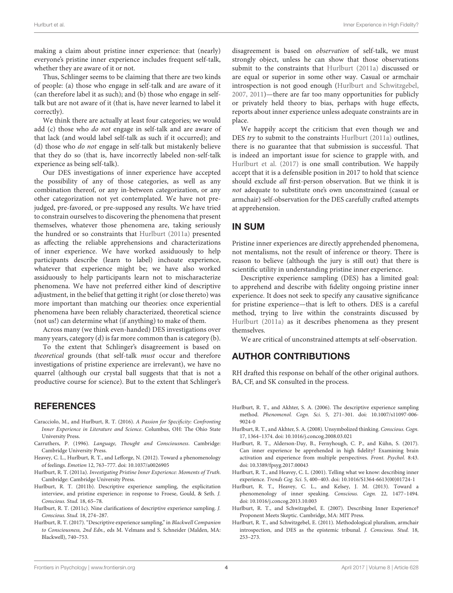making a claim about pristine inner experience: that (nearly) everyone's pristine inner experience includes frequent self-talk, whether they are aware of it or not.

Thus, Schlinger seems to be claiming that there are two kinds of people: (a) those who engage in self-talk and are aware of it (can therefore label it as such); and (b) those who engage in selftalk but are not aware of it (that is, have never learned to label it correctly).

We think there are actually at least four categories; we would add (c) those who do not engage in self-talk and are aware of that lack (and would label self-talk as such if it occurred); and (d) those who do not engage in self-talk but mistakenly believe that they do so (that is, have incorrectly labeled non-self-talk experience as being self-talk).

Our DES investigations of inner experience have accepted the possibility of any of those categories, as well as any combination thereof, or any in-between categorization, or any other categorization not yet contemplated. We have not prejudged, pre-favored, or pre-supposed any results. We have tried to constrain ourselves to discovering the phenomena that present themselves, whatever those phenomena are, taking seriously the hundred or so constraints that [Hurlburt \(2011a\)](#page-3-2) presented as affecting the reliable apprehensions and characterizations of inner experience. We have worked assiduously to help participants describe (learn to label) inchoate experience, whatever that experience might be; we have also worked assiduously to help participants learn not to mischaracterize phenomena. We have not preferred either kind of descriptive adjustment, in the belief that getting it right (or close thereto) was more important than matching our theories: once experiential phenomena have been reliably characterized, theoretical science (not us!) can determine what (if anything) to make of them.

Across many (we think even-handed) DES investigations over many years, category (d) is far more common than is category (b).

To the extent that Schlinger's disagreement is based on theoretical grounds (that self-talk must occur and therefore investigations of pristine experience are irrelevant), we have no quarrel (although our crystal ball suggests that that is not a productive course for science). But to the extent that Schlinger's

#### **REFERENCES**

- <span id="page-3-4"></span>Caracciolo, M., and Hurlburt, R. T. (2016). A Passion for Specificity: Confronting Inner Experience in Literature and Science. Columbus, OH: The Ohio State University Press.
- <span id="page-3-11"></span>Carruthers, P. (1996). Language, Thought and Consciousness. Cambridge: Cambridge University Press.
- <span id="page-3-7"></span>Heavey, C. L., Hurlburt, R. T., and Lefforge, N. (2012). Toward a phenomenology of feelings. Emotion 12, 763–777. doi: [10.1037/a0026905](https://doi.org/10.1037/a0026905)
- <span id="page-3-2"></span>Hurlburt, R. T. (2011a). Investigating Pristine Inner Experience: Moments of Truth. Cambridge: Cambridge University Press.
- <span id="page-3-8"></span>Hurlburt, R. T. (2011b). Descriptive experience sampling, the explicitation interview, and pristine experience: in response to Froese, Gould, & Seth. J. Conscious. Stud. 18, 65–78.
- <span id="page-3-9"></span>Hurlburt, R. T. (2011c). Nine clarifications of descriptive experience sampling. J. Conscious. Stud. 18, 274–287.
- <span id="page-3-10"></span>Hurlburt, R. T. (2017). "Descriptive experience sampling," in Blackwell Companion to Consciousness, 2nd Edn., eds M. Velmans and S. Schneider (Malden, MA: Blackwell), 740–753.

disagreement is based on observation of self-talk, we must strongly object, unless he can show that those observations submit to the constraints that [Hurlburt \(2011a\)](#page-3-2) discussed or are equal or superior in some other way. Casual or armchair introspection is not good enough [\(Hurlburt and Schwitzgebel,](#page-3-6) [2007,](#page-3-6) [2011\)](#page-3-13)—there are far too many opportunities for publicly or privately held theory to bias, perhaps with huge effects, reports about inner experience unless adequate constraints are in place.

We happily accept the criticism that even though we and DES try to submit to the constraints [Hurlburt \(2011a\)](#page-3-2) outlines, there is no guarantee that that submission is successful. That is indeed an important issue for science to grapple with, and [Hurlburt et al. \(2017\)](#page-3-0) is one small contribution. We happily accept that it is a defensible position in 2017 to hold that science should exclude all first-person observation. But we think it is not adequate to substitute one's own unconstrained (casual or armchair) self-observation for the DES carefully crafted attempts at apprehension.

#### IN SUM

Pristine inner experiences are directly apprehended phenomena, not mentalisms, not the result of inference or theory. There is reason to believe (although the jury is still out) that there is scientific utility in understanding pristine inner experience.

Descriptive experience sampling (DES) has a limited goal: to apprehend and describe with fidelity ongoing pristine inner experience. It does not seek to specify any causative significance for pristine experience—that is left to others. DES is a careful method, trying to live within the constraints discussed by [Hurlburt \(2011a\)](#page-3-2) as it describes phenomena as they present themselves.

We are critical of unconstrained attempts at self-observation.

## AUTHOR CONTRIBUTIONS

RH drafted this response on behalf of the other original authors. BA, CF, and SK consulted in the process.

- <span id="page-3-5"></span>Hurlburt, R. T., and Akhter, S. A. (2006). The descriptive experience sampling method. Phenomenol. Cogn. Sci[. 5, 271–301. doi: 10.1007/s11097-006-](https://doi.org/10.1007/s11097-006-9024-0) 9024-0
- <span id="page-3-3"></span>Hurlburt, R. T., and Akhter, S. A. (2008). Unsymbolized thinking. Conscious. Cogn. 17, 1364–1374. doi: [10.1016/j.concog.2008.03.021](https://doi.org/10.1016/j.concog.2008.03.021)
- <span id="page-3-0"></span>Hurlburt, R. T., Alderson-Day, B., Fernyhough, C. P., and Kühn, S. (2017). Can inner experience be apprehended in high fidelity? Examining brain activation and experience from multiple perspectives. Front. Psychol. 8:43. doi: [10.3389/fpsyg.2017.00043](https://doi.org/10.3389/fpsyg.2017.00043)
- <span id="page-3-1"></span>Hurlburt, R. T., and Heavey, C. L. (2001). Telling what we know: describing inner experience. Trends Cog. Sci. 5, 400–403. doi: [10.1016/S1364-6613\(00\)01724-1](https://doi.org/10.1016/S1364-6613(00)01724-1)
- <span id="page-3-12"></span>Hurlburt, R. T., Heavey, C. L., and Kelsey, J. M. (2013). Toward a phenomenology of inner speaking. Conscious. Cogn. 22, 1477–1494. doi: [10.1016/j.concog.2013.10.003](https://doi.org/10.1016/j.concog.2013.10.003)
- <span id="page-3-6"></span>Hurlburt, R. T., and Schwitzgebel, E. (2007). Describing Inner Experience? Proponent Meets Skeptic. Cambridge, MA: MIT Press.
- <span id="page-3-13"></span>Hurlburt, R. T., and Schwitzgebel, E. (2011). Methodological pluralism, armchair introspection, and DES as the epistemic tribunal. J. Conscious. Stud. 18, 253–273.